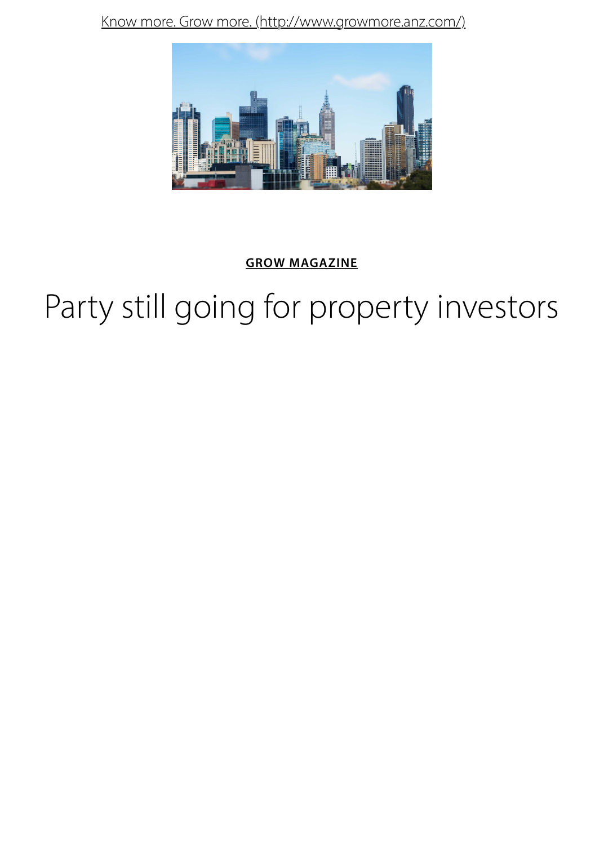

### **GROW MAGAZINE**

# Party still going for property investo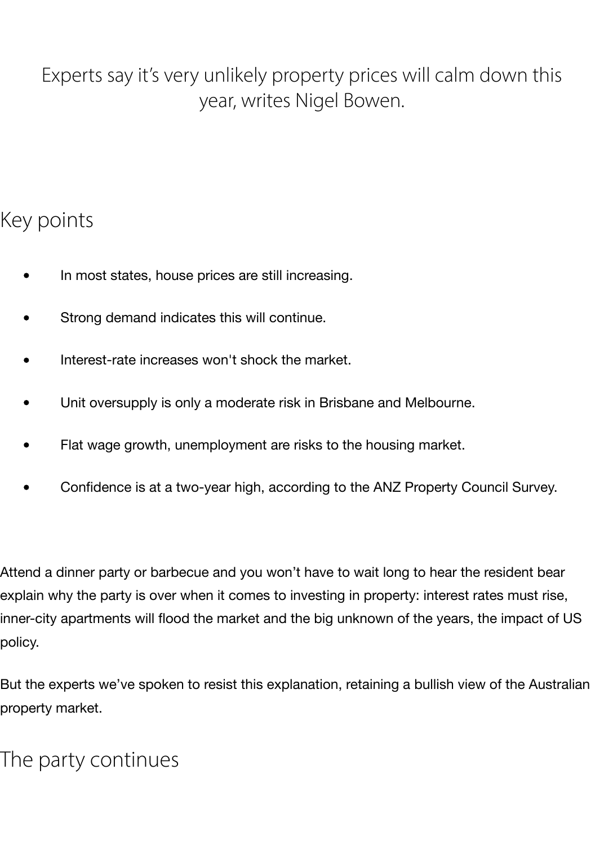# Experts say it's very unlikely property prices will calm down this year, writes Nigel Bowen.

# Key points

- In most states, house prices are still increasing.
- Strong demand indicates this will continue.
- Interest-rate increases won't shock the market.
- Unit oversupply is only a moderate risk in Brisbane and Melbourne.
- Flat wage growth, unemployment are risks to the housing market.
- Confidence is at a two-year high, according to the ANZ Property Council Survey.

Attend a dinner party or barbecue and you won't have to wait long to hear the resident bear explain why the party is over when it comes to investing in property: interest rates must rise, inner-city apartments will flood the market and the big unknown of the years, the impact of US policy.

But the experts we've spoken to resist this explanation, retaining a bullish view of the Australian property market.

# The party continues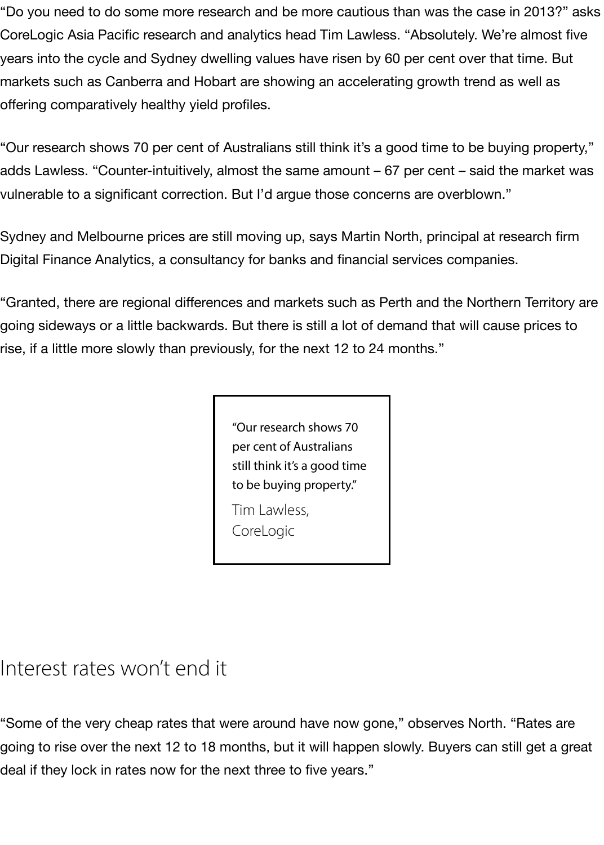"Do you need to do some more research and be more cautious than was the case in 2013?" asks CoreLogic Asia Pacific research and analytics head Tim Lawless. "Absolutely. We're almost five years into the cycle and Sydney dwelling values have risen by 60 per cent over that time. But markets such as Canberra and Hobart are showing an accelerating growth trend as well as offering comparatively healthy yield profiles.

"Our research shows 70 per cent of Australians still think it's a good time to be buying property," adds Lawless. "Counter-intuitively, almost the same amount – 67 per cent – said the market was vulnerable to a significant correction. But I'd argue those concerns are overblown."

Sydney and Melbourne prices are still moving up, says Martin North, principal at research firm Digital Finance Analytics, a consultancy for banks and financial services companies.

"Granted, there are regional differences and markets such as Perth and the Northern Territory are going sideways or a little backwards. But there is still a lot of demand that will cause prices to rise, if a little more slowly than previously, for the next 12 to 24 months."

> "Our research shows 70 per cent of Australians still think it's a good time to be buying property."

Tim Lawless, CoreLogic

# Interest rates won't end it

"Some of the very cheap rates that were around have now gone," observes North. "Rates are going to rise over the next 12 to 18 months, but it will happen slowly. Buyers can still get a great deal if they lock in rates now for the next three to five years."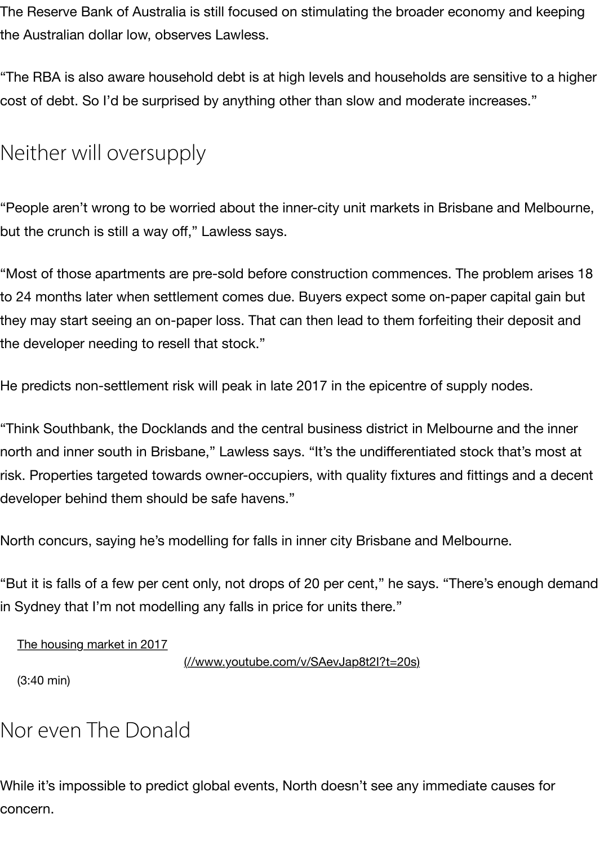## Neither will oversupply

"People aren't wrong to be worried about the inner-city unit markets in Brisbane and N but the crunch is still a way off," Lawless says.

"Most of those apartments are pre-sold before construction commences. The problen to 24 months later when settlement comes due. Buyers expect some on-paper capita they may start seeing an on-paper loss. That can then lead to them forfeiting their dep the developer needing to resell that stock."

He predicts non-settlement risk will peak in late 2017 in the epicentre of supply nodes

"Think Southbank, the Docklands and the central business district in Melbourne and t north and inner south in Brisbane," Lawless says. "It's the undifferentiated stock that's risk. Properties targeted towards owner-occupiers, with quality fixtures and fittings and developer behind them should be safe havens."

North concurs, saying he's modelling for falls in inner city Brisbane and Melbourne.

"But it is falls of a few per cent only, not drops of 20 per cent," he says. "There's enough in Sydney that I'm not modelling any falls in price for units there."

The housing market in 2017

(//www.youtube.com/v/SAevJap8t2I?t=20s)

(3:40 min)

## Nor even The Donald

While it's impossible to predict global events, North doesn't see any immediate cause [concern.](http://www.youtube.com/v/SAevJap8t2I?t=20s)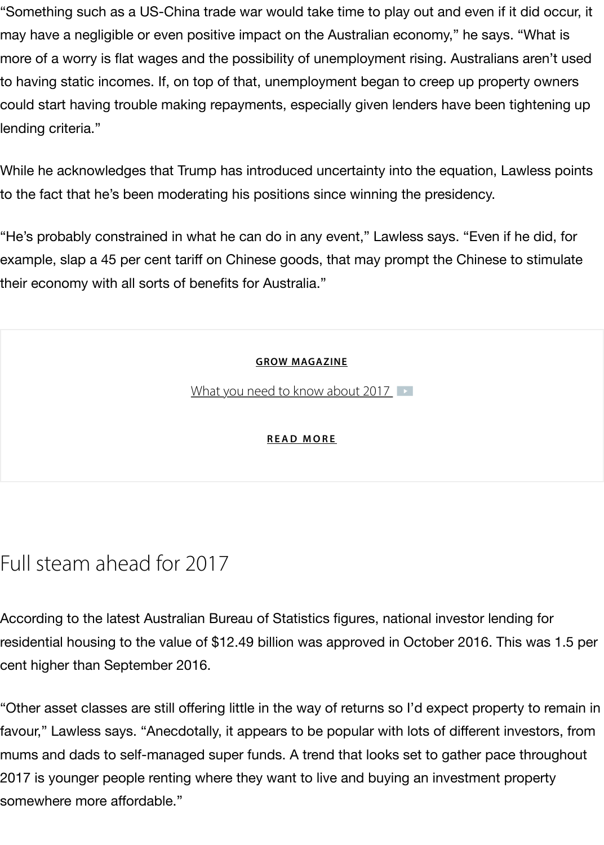While he acknowledges that Trump has introduced uncertainty into the equation, Lawl to the fact that he's been moderating his positions since winning the presidency.

"He's probably constrained in what he can do in any event," Lawless says. "Even if he example, slap a 45 per cent tariff on Chinese goods, that may prompt the Chinese to s their economy with all sorts of benefits for Australia."

#### **GROW MAGAZINE**

What you need to know about 2017

#### **READ MORE**

# Full steam ahead for [2017](http://www.growmore.anz.com/content/grow-more/en/featured/what-to-expect-in-2017)

According to the latest Australian Burea[u of Statistics figur](http://www.growmore.anz.com/content/grow-more/en/featured/what-to-expect-in-2017)es, national investor lending residential housing to the value of \$12.49 billion was approved in October 2016. This v cent higher than September 2016.

"Other asset classes are still offering little in the way of returns so I'd expect property to favour," Lawless says. "Anecdotally, it appears to be popular with lots of different inve mums and dads to self-managed super funds. A trend that looks set to gather pace th 2017 is younger people renting where they want to live and buying an investment prop somewhere more affordable."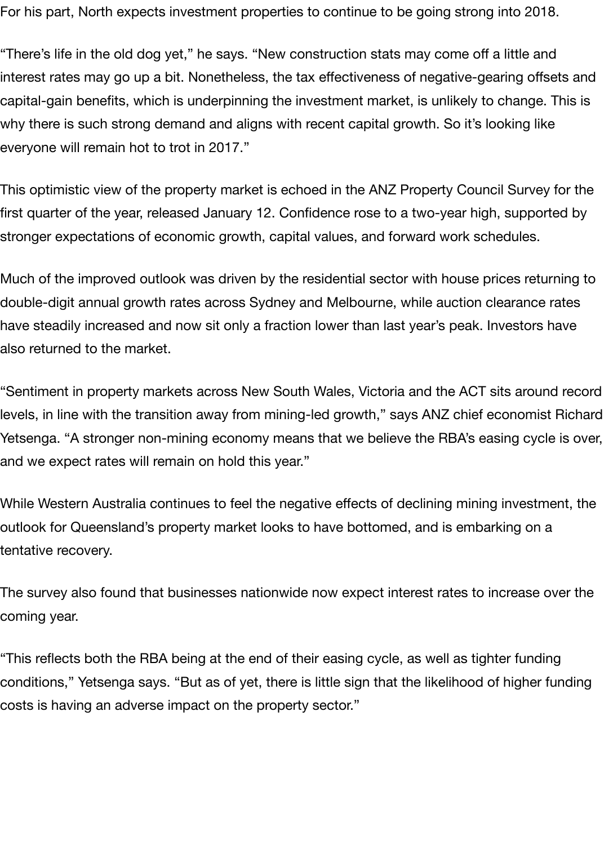For his part, North expects investment properties to continue to be going strong into 2018.

"There's life in the old dog yet," he says. "New construction stats may come off a little and interest rates may go up a bit. Nonetheless, the tax effectiveness of negative-gearing offsets and capital-gain benefits, which is underpinning the investment market, is unlikely to change. This is why there is such strong demand and aligns with recent capital growth. So it's looking like everyone will remain hot to trot in 2017."

This optimistic view of the property market is echoed in the ANZ Property Council Survey for the first quarter of the year, released January 12. Confidence rose to a two-year high, supported by stronger expectations of economic growth, capital values, and forward work schedules.

Much of the improved outlook was driven by the residential sector with house prices returning to double-digit annual growth rates across Sydney and Melbourne, while auction clearance rates have steadily increased and now sit only a fraction lower than last year's peak. Investors have also returned to the market.

"Sentiment in property markets across New South Wales, Victoria and the ACT sits around record levels, in line with the transition away from mining-led growth," says ANZ chief economist Richard Yetsenga. "A stronger non-mining economy means that we believe the RBA's easing cycle is over, and we expect rates will remain on hold this year."

While Western Australia continues to feel the negative effects of declining mining investment, the outlook for Queensland's property market looks to have bottomed, and is embarking on a tentative recovery.

The survey also found that businesses nationwide now expect interest rates to increase over the coming year.

"This reflects both the RBA being at the end of their easing cycle, as well as tighter funding conditions," Yetsenga says. "But as of yet, there is little sign that the likelihood of higher funding costs is having an adverse impact on the property sector."